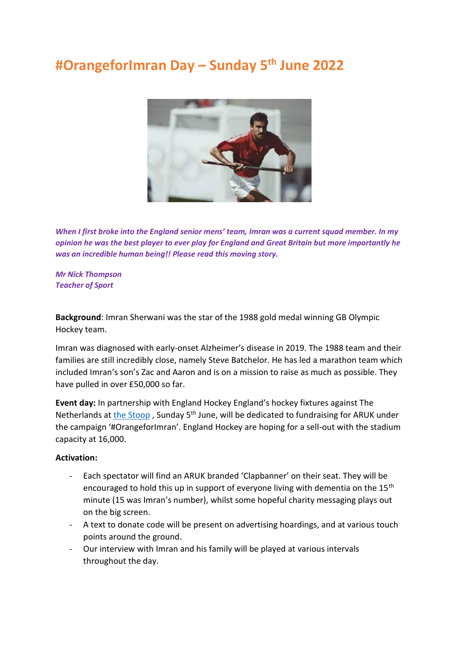## **#OrangeforImran Day – Sunday 5th June 2022**



*When I first broke into the England senior mens' team, Imran was a current squad member. In my opinion he was the best player to ever play for England and Great Britain but more importantly he was an incredible human being!! Please read this moving story.*

## *Mr Nick Thompson Teacher of Sport*

**Background**: Imran Sherwani was the star of the 1988 gold medal winning GB Olympic Hockey team.

Imran was diagnosed with early-onset Alzheimer's disease in 2019. The 1988 team and their families are still incredibly close, namely Steve Batchelor. He has led a marathon team which included Imran's son's Zac and Aaron and is on a mission to raise as much as possible. They have pulled in over £50,000 so far.

**Event day:** In partnership with England Hockey England's hockey fixtures against The Netherlands at [the Stoop](https://www.quins.co.uk/your-club/stadium/), Sunday 5<sup>th</sup> June, will be dedicated to fundraising for ARUK under the campaign '#OrangeforImran'. England Hockey are hoping for a sell-out with the stadium capacity at 16,000.

## **Activation:**

- Each spectator will find an ARUK branded 'Clapbanner' on their seat. They will be encouraged to hold this up in support of everyone living with dementia on the 15<sup>th</sup> minute (15 was Imran's number), whilst some hopeful charity messaging plays out on the big screen.
- A text to donate code will be present on advertising hoardings, and at various touch points around the ground.
- Our interview with Imran and his family will be played at various intervals throughout the day.